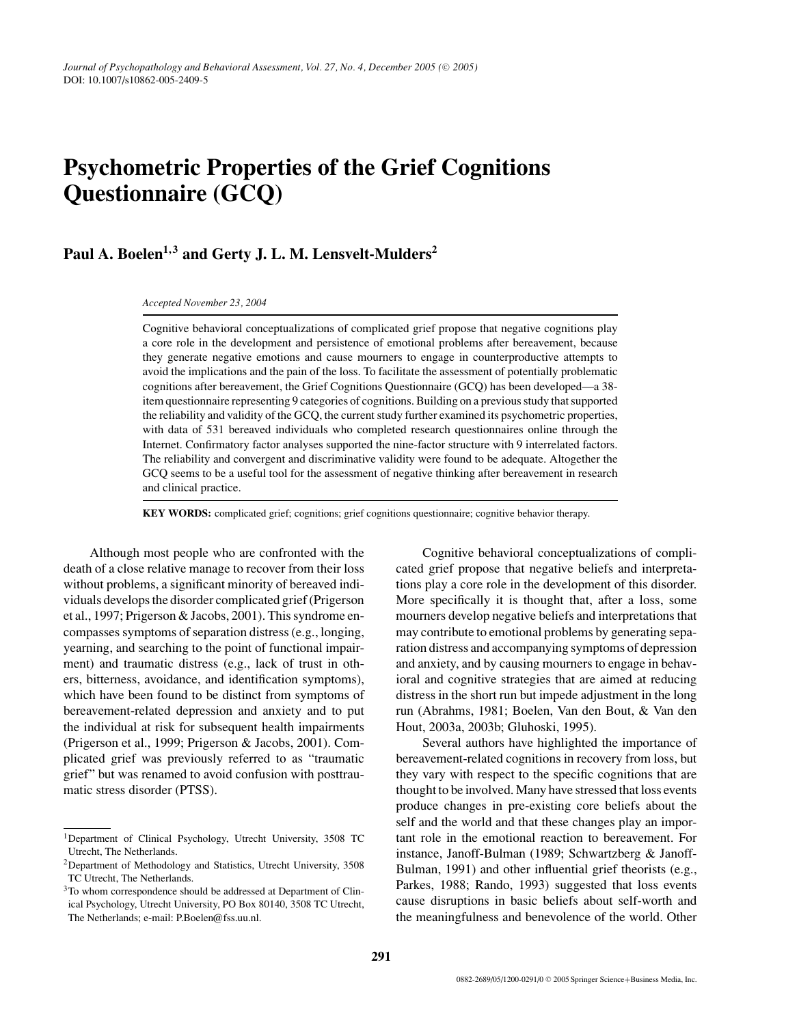# **Psychometric Properties of the Grief Cognitions Questionnaire (GCQ)**

# Paul A. Boelen<sup>1,3</sup> and Gerty J. L. M. Lensvelt-Mulders<sup>2</sup>

#### *Accepted November 23, 2004*

Cognitive behavioral conceptualizations of complicated grief propose that negative cognitions play a core role in the development and persistence of emotional problems after bereavement, because they generate negative emotions and cause mourners to engage in counterproductive attempts to avoid the implications and the pain of the loss. To facilitate the assessment of potentially problematic cognitions after bereavement, the Grief Cognitions Questionnaire (GCQ) has been developed—a 38 item questionnaire representing 9 categories of cognitions. Building on a previous study that supported the reliability and validity of the GCQ, the current study further examined its psychometric properties, with data of 531 bereaved individuals who completed research questionnaires online through the Internet. Confirmatory factor analyses supported the nine-factor structure with 9 interrelated factors. The reliability and convergent and discriminative validity were found to be adequate. Altogether the GCQ seems to be a useful tool for the assessment of negative thinking after bereavement in research and clinical practice.

**KEY WORDS:** complicated grief; cognitions; grief cognitions questionnaire; cognitive behavior therapy.

Although most people who are confronted with the death of a close relative manage to recover from their loss without problems, a significant minority of bereaved individuals develops the disorder complicated grief (Prigerson et al., 1997; Prigerson & Jacobs, 2001). This syndrome encompasses symptoms of separation distress (e.g., longing, yearning, and searching to the point of functional impairment) and traumatic distress (e.g., lack of trust in others, bitterness, avoidance, and identification symptoms), which have been found to be distinct from symptoms of bereavement-related depression and anxiety and to put the individual at risk for subsequent health impairments (Prigerson et al., 1999; Prigerson & Jacobs, 2001). Complicated grief was previously referred to as "traumatic grief" but was renamed to avoid confusion with posttraumatic stress disorder (PTSS).

Cognitive behavioral conceptualizations of complicated grief propose that negative beliefs and interpretations play a core role in the development of this disorder. More specifically it is thought that, after a loss, some mourners develop negative beliefs and interpretations that may contribute to emotional problems by generating separation distress and accompanying symptoms of depression and anxiety, and by causing mourners to engage in behavioral and cognitive strategies that are aimed at reducing distress in the short run but impede adjustment in the long run (Abrahms, 1981; Boelen, Van den Bout, & Van den Hout, 2003a, 2003b; Gluhoski, 1995).

Several authors have highlighted the importance of bereavement-related cognitions in recovery from loss, but they vary with respect to the specific cognitions that are thought to be involved. Many have stressed that loss events produce changes in pre-existing core beliefs about the self and the world and that these changes play an important role in the emotional reaction to bereavement. For instance, Janoff-Bulman (1989; Schwartzberg & Janoff-Bulman, 1991) and other influential grief theorists (e.g., Parkes, 1988; Rando, 1993) suggested that loss events cause disruptions in basic beliefs about self-worth and the meaningfulness and benevolence of the world. Other

<sup>1</sup>Department of Clinical Psychology, Utrecht University, 3508 TC Utrecht, The Netherlands.

<sup>&</sup>lt;sup>2</sup>Department of Methodology and Statistics, Utrecht University, 3508 TC Utrecht, The Netherlands.

<sup>3</sup>To whom correspondence should be addressed at Department of Clinical Psychology, Utrecht University, PO Box 80140, 3508 TC Utrecht, The Netherlands; e-mail: P.Boelen@fss.uu.nl.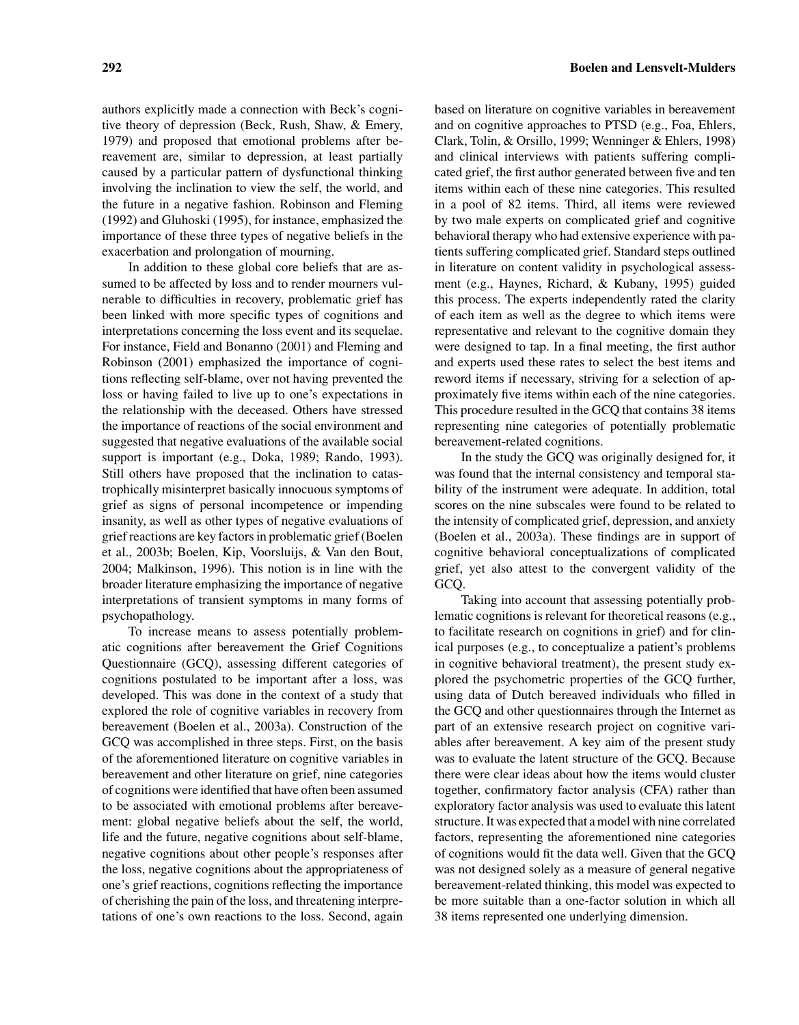authors explicitly made a connection with Beck's cognitive theory of depression (Beck, Rush, Shaw, & Emery, 1979) and proposed that emotional problems after bereavement are, similar to depression, at least partially caused by a particular pattern of dysfunctional thinking involving the inclination to view the self, the world, and the future in a negative fashion. Robinson and Fleming (1992) and Gluhoski (1995), for instance, emphasized the importance of these three types of negative beliefs in the exacerbation and prolongation of mourning.

In addition to these global core beliefs that are assumed to be affected by loss and to render mourners vulnerable to difficulties in recovery, problematic grief has been linked with more specific types of cognitions and interpretations concerning the loss event and its sequelae. For instance, Field and Bonanno (2001) and Fleming and Robinson (2001) emphasized the importance of cognitions reflecting self-blame, over not having prevented the loss or having failed to live up to one's expectations in the relationship with the deceased. Others have stressed the importance of reactions of the social environment and suggested that negative evaluations of the available social support is important (e.g., Doka, 1989; Rando, 1993). Still others have proposed that the inclination to catastrophically misinterpret basically innocuous symptoms of grief as signs of personal incompetence or impending insanity, as well as other types of negative evaluations of grief reactions are key factors in problematic grief (Boelen et al., 2003b; Boelen, Kip, Voorsluijs, & Van den Bout, 2004; Malkinson, 1996). This notion is in line with the broader literature emphasizing the importance of negative interpretations of transient symptoms in many forms of psychopathology.

To increase means to assess potentially problematic cognitions after bereavement the Grief Cognitions Questionnaire (GCQ), assessing different categories of cognitions postulated to be important after a loss, was developed. This was done in the context of a study that explored the role of cognitive variables in recovery from bereavement (Boelen et al., 2003a). Construction of the GCQ was accomplished in three steps. First, on the basis of the aforementioned literature on cognitive variables in bereavement and other literature on grief, nine categories of cognitions were identified that have often been assumed to be associated with emotional problems after bereavement: global negative beliefs about the self, the world, life and the future, negative cognitions about self-blame, negative cognitions about other people's responses after the loss, negative cognitions about the appropriateness of one's grief reactions, cognitions reflecting the importance of cherishing the pain of the loss, and threatening interpretations of one's own reactions to the loss. Second, again

based on literature on cognitive variables in bereavement and on cognitive approaches to PTSD (e.g., Foa, Ehlers, Clark, Tolin, & Orsillo, 1999; Wenninger & Ehlers, 1998) and clinical interviews with patients suffering complicated grief, the first author generated between five and ten items within each of these nine categories. This resulted in a pool of 82 items. Third, all items were reviewed by two male experts on complicated grief and cognitive behavioral therapy who had extensive experience with patients suffering complicated grief. Standard steps outlined in literature on content validity in psychological assessment (e.g., Haynes, Richard, & Kubany, 1995) guided this process. The experts independently rated the clarity of each item as well as the degree to which items were representative and relevant to the cognitive domain they were designed to tap. In a final meeting, the first author and experts used these rates to select the best items and reword items if necessary, striving for a selection of approximately five items within each of the nine categories. This procedure resulted in the GCQ that contains 38 items representing nine categories of potentially problematic bereavement-related cognitions.

In the study the GCQ was originally designed for, it was found that the internal consistency and temporal stability of the instrument were adequate. In addition, total scores on the nine subscales were found to be related to the intensity of complicated grief, depression, and anxiety (Boelen et al., 2003a). These findings are in support of cognitive behavioral conceptualizations of complicated grief, yet also attest to the convergent validity of the GCQ.

Taking into account that assessing potentially problematic cognitions is relevant for theoretical reasons (e.g., to facilitate research on cognitions in grief) and for clinical purposes (e.g., to conceptualize a patient's problems in cognitive behavioral treatment), the present study explored the psychometric properties of the GCQ further, using data of Dutch bereaved individuals who filled in the GCQ and other questionnaires through the Internet as part of an extensive research project on cognitive variables after bereavement. A key aim of the present study was to evaluate the latent structure of the GCQ. Because there were clear ideas about how the items would cluster together, confirmatory factor analysis (CFA) rather than exploratory factor analysis was used to evaluate this latent structure. It was expected that a model with nine correlated factors, representing the aforementioned nine categories of cognitions would fit the data well. Given that the GCQ was not designed solely as a measure of general negative bereavement-related thinking, this model was expected to be more suitable than a one-factor solution in which all 38 items represented one underlying dimension.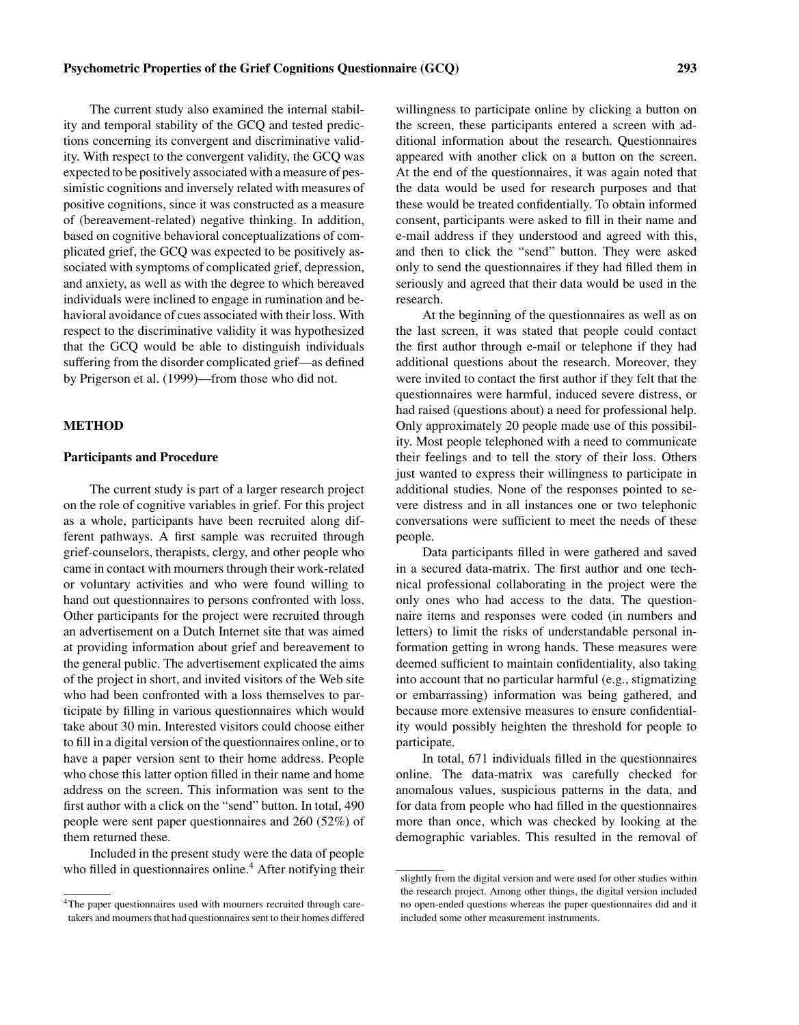The current study also examined the internal stability and temporal stability of the GCQ and tested predictions concerning its convergent and discriminative validity. With respect to the convergent validity, the GCQ was expected to be positively associated with a measure of pessimistic cognitions and inversely related with measures of positive cognitions, since it was constructed as a measure of (bereavement-related) negative thinking. In addition, based on cognitive behavioral conceptualizations of complicated grief, the GCQ was expected to be positively associated with symptoms of complicated grief, depression, and anxiety, as well as with the degree to which bereaved individuals were inclined to engage in rumination and behavioral avoidance of cues associated with their loss. With respect to the discriminative validity it was hypothesized that the GCQ would be able to distinguish individuals suffering from the disorder complicated grief—as defined by Prigerson et al. (1999)—from those who did not.

### **METHOD**

### **Participants and Procedure**

The current study is part of a larger research project on the role of cognitive variables in grief. For this project as a whole, participants have been recruited along different pathways. A first sample was recruited through grief-counselors, therapists, clergy, and other people who came in contact with mourners through their work-related or voluntary activities and who were found willing to hand out questionnaires to persons confronted with loss. Other participants for the project were recruited through an advertisement on a Dutch Internet site that was aimed at providing information about grief and bereavement to the general public. The advertisement explicated the aims of the project in short, and invited visitors of the Web site who had been confronted with a loss themselves to participate by filling in various questionnaires which would take about 30 min. Interested visitors could choose either to fill in a digital version of the questionnaires online, or to have a paper version sent to their home address. People who chose this latter option filled in their name and home address on the screen. This information was sent to the first author with a click on the "send" button. In total, 490 people were sent paper questionnaires and 260 (52%) of them returned these.

Included in the present study were the data of people who filled in questionnaires online.<sup>4</sup> After notifying their

willingness to participate online by clicking a button on the screen, these participants entered a screen with additional information about the research. Questionnaires appeared with another click on a button on the screen. At the end of the questionnaires, it was again noted that the data would be used for research purposes and that these would be treated confidentially. To obtain informed consent, participants were asked to fill in their name and e-mail address if they understood and agreed with this, and then to click the "send" button. They were asked only to send the questionnaires if they had filled them in seriously and agreed that their data would be used in the research.

At the beginning of the questionnaires as well as on the last screen, it was stated that people could contact the first author through e-mail or telephone if they had additional questions about the research. Moreover, they were invited to contact the first author if they felt that the questionnaires were harmful, induced severe distress, or had raised (questions about) a need for professional help. Only approximately 20 people made use of this possibility. Most people telephoned with a need to communicate their feelings and to tell the story of their loss. Others just wanted to express their willingness to participate in additional studies. None of the responses pointed to severe distress and in all instances one or two telephonic conversations were sufficient to meet the needs of these people.

Data participants filled in were gathered and saved in a secured data-matrix. The first author and one technical professional collaborating in the project were the only ones who had access to the data. The questionnaire items and responses were coded (in numbers and letters) to limit the risks of understandable personal information getting in wrong hands. These measures were deemed sufficient to maintain confidentiality, also taking into account that no particular harmful (e.g., stigmatizing or embarrassing) information was being gathered, and because more extensive measures to ensure confidentiality would possibly heighten the threshold for people to participate.

In total, 671 individuals filled in the questionnaires online. The data-matrix was carefully checked for anomalous values, suspicious patterns in the data, and for data from people who had filled in the questionnaires more than once, which was checked by looking at the demographic variables. This resulted in the removal of

<sup>4</sup>The paper questionnaires used with mourners recruited through caretakers and mourners that had questionnaires sent to their homes differed

slightly from the digital version and were used for other studies within the research project. Among other things, the digital version included no open-ended questions whereas the paper questionnaires did and it included some other measurement instruments.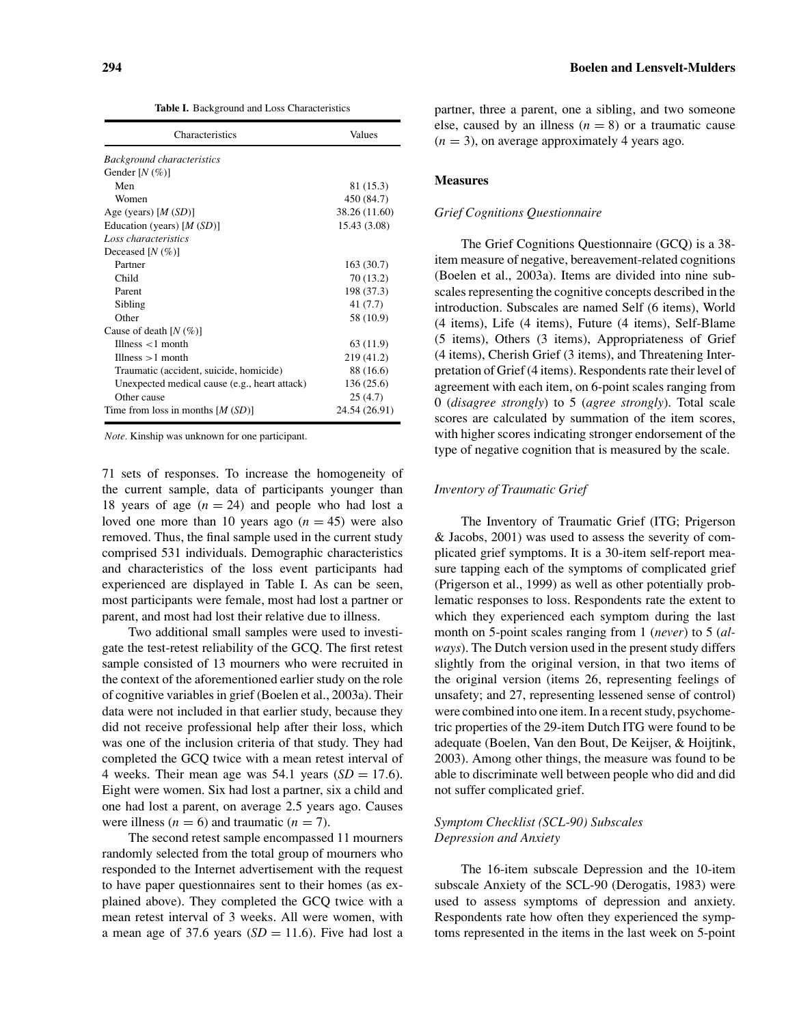**Table I.** Background and Loss Characteristics

| Characteristics                               | Values        |
|-----------------------------------------------|---------------|
| <b>Background characteristics</b>             |               |
| Gender $[N(\%)]$                              |               |
| Men                                           | 81 (15.3)     |
| Women                                         | 450 (84.7)    |
| Age (years) $[M(SD)]$                         | 38.26 (11.60) |
| Education (years) $[M(SD)]$                   | 15.43 (3.08)  |
| Loss characteristics                          |               |
| Deceased $[N(\%)]$                            |               |
| Partner                                       | 163(30.7)     |
| Child                                         | 70 (13.2)     |
| Parent                                        | 198 (37.3)    |
| Sibling                                       | 41 (7.7)      |
| Other                                         | 58 (10.9)     |
| Cause of death $[N(\%)]$                      |               |
| Illness $<$ 1 month                           | 63 (11.9)     |
| Illness $>1$ month                            | 219 (41.2)    |
| Traumatic (accident, suicide, homicide)       | 88 (16.6)     |
| Unexpected medical cause (e.g., heart attack) | 136 (25.6)    |
| Other cause                                   | 25(4.7)       |
| Time from loss in months $[M(SD)]$            | 24.54 (26.91) |

*Note.* Kinship was unknown for one participant.

71 sets of responses. To increase the homogeneity of the current sample, data of participants younger than 18 years of age  $(n = 24)$  and people who had lost a loved one more than 10 years ago  $(n = 45)$  were also removed. Thus, the final sample used in the current study comprised 531 individuals. Demographic characteristics and characteristics of the loss event participants had experienced are displayed in Table I. As can be seen, most participants were female, most had lost a partner or parent, and most had lost their relative due to illness.

Two additional small samples were used to investigate the test-retest reliability of the GCQ. The first retest sample consisted of 13 mourners who were recruited in the context of the aforementioned earlier study on the role of cognitive variables in grief (Boelen et al., 2003a). Their data were not included in that earlier study, because they did not receive professional help after their loss, which was one of the inclusion criteria of that study. They had completed the GCQ twice with a mean retest interval of 4 weeks. Their mean age was 54.1 years  $(SD = 17.6)$ . Eight were women. Six had lost a partner, six a child and one had lost a parent, on average 2.5 years ago. Causes were illness  $(n = 6)$  and traumatic  $(n = 7)$ .

The second retest sample encompassed 11 mourners randomly selected from the total group of mourners who responded to the Internet advertisement with the request to have paper questionnaires sent to their homes (as explained above). They completed the GCQ twice with a mean retest interval of 3 weeks. All were women, with a mean age of 37.6 years  $(SD = 11.6)$ . Five had lost a

partner, three a parent, one a sibling, and two someone else, caused by an illness  $(n = 8)$  or a traumatic cause  $(n = 3)$ , on average approximately 4 years ago.

#### **Measures**

## *Grief Cognitions Questionnaire*

The Grief Cognitions Questionnaire (GCQ) is a 38 item measure of negative, bereavement-related cognitions (Boelen et al., 2003a). Items are divided into nine subscales representing the cognitive concepts described in the introduction. Subscales are named Self (6 items), World (4 items), Life (4 items), Future (4 items), Self-Blame (5 items), Others (3 items), Appropriateness of Grief (4 items), Cherish Grief (3 items), and Threatening Interpretation of Grief (4 items). Respondents rate their level of agreement with each item, on 6-point scales ranging from 0 (*disagree strongly*) to 5 (*agree strongly*). Total scale scores are calculated by summation of the item scores, with higher scores indicating stronger endorsement of the type of negative cognition that is measured by the scale.

#### *Inventory of Traumatic Grief*

The Inventory of Traumatic Grief (ITG; Prigerson & Jacobs, 2001) was used to assess the severity of complicated grief symptoms. It is a 30-item self-report measure tapping each of the symptoms of complicated grief (Prigerson et al., 1999) as well as other potentially problematic responses to loss. Respondents rate the extent to which they experienced each symptom during the last month on 5-point scales ranging from 1 (*never*) to 5 (*always*). The Dutch version used in the present study differs slightly from the original version, in that two items of the original version (items 26, representing feelings of unsafety; and 27, representing lessened sense of control) were combined into one item. In a recent study, psychometric properties of the 29-item Dutch ITG were found to be adequate (Boelen, Van den Bout, De Keijser, & Hoijtink, 2003). Among other things, the measure was found to be able to discriminate well between people who did and did not suffer complicated grief.

# *Symptom Checklist (SCL-90) Subscales Depression and Anxiety*

The 16-item subscale Depression and the 10-item subscale Anxiety of the SCL-90 (Derogatis, 1983) were used to assess symptoms of depression and anxiety. Respondents rate how often they experienced the symptoms represented in the items in the last week on 5-point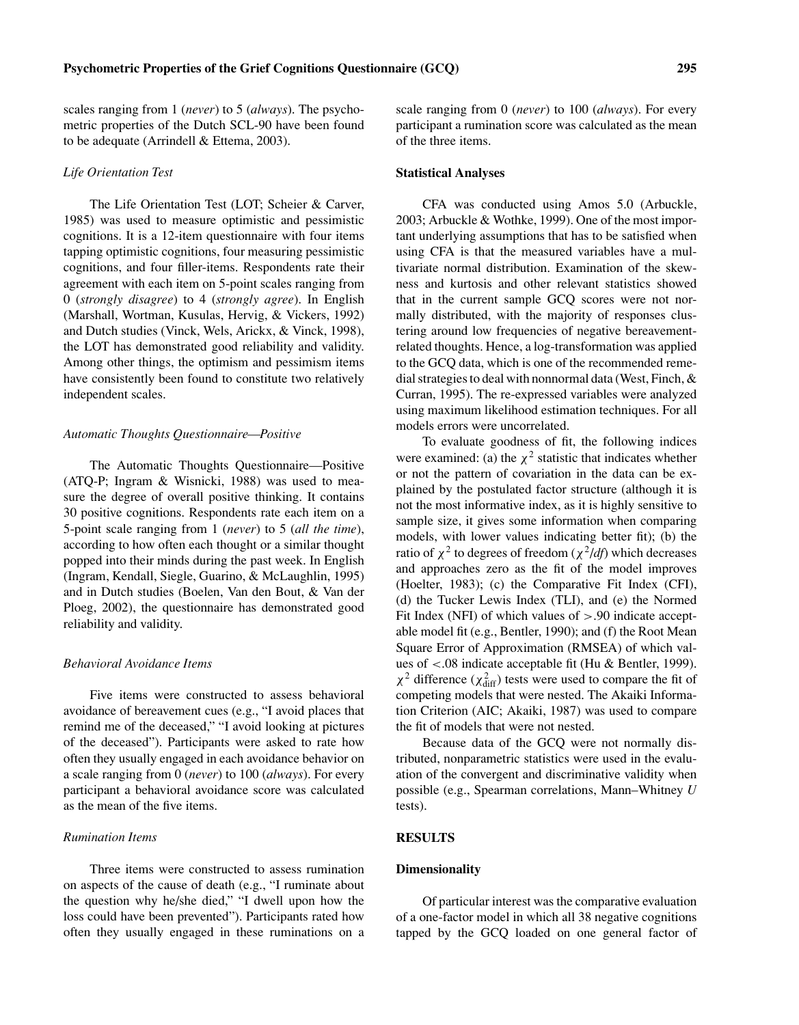scales ranging from 1 (*never*) to 5 (*always*). The psychometric properties of the Dutch SCL-90 have been found to be adequate (Arrindell & Ettema, 2003).

#### *Life Orientation Test*

The Life Orientation Test (LOT; Scheier & Carver, 1985) was used to measure optimistic and pessimistic cognitions. It is a 12-item questionnaire with four items tapping optimistic cognitions, four measuring pessimistic cognitions, and four filler-items. Respondents rate their agreement with each item on 5-point scales ranging from 0 (*strongly disagree*) to 4 (*strongly agree*). In English (Marshall, Wortman, Kusulas, Hervig, & Vickers, 1992) and Dutch studies (Vinck, Wels, Arickx, & Vinck, 1998), the LOT has demonstrated good reliability and validity. Among other things, the optimism and pessimism items have consistently been found to constitute two relatively independent scales.

#### *Automatic Thoughts Questionnaire—Positive*

The Automatic Thoughts Questionnaire—Positive (ATQ-P; Ingram & Wisnicki, 1988) was used to measure the degree of overall positive thinking. It contains 30 positive cognitions. Respondents rate each item on a 5-point scale ranging from 1 (*never*) to 5 (*all the time*), according to how often each thought or a similar thought popped into their minds during the past week. In English (Ingram, Kendall, Siegle, Guarino, & McLaughlin, 1995) and in Dutch studies (Boelen, Van den Bout, & Van der Ploeg, 2002), the questionnaire has demonstrated good reliability and validity.

#### *Behavioral Avoidance Items*

Five items were constructed to assess behavioral avoidance of bereavement cues (e.g., "I avoid places that remind me of the deceased," "I avoid looking at pictures of the deceased"). Participants were asked to rate how often they usually engaged in each avoidance behavior on a scale ranging from 0 (*never*) to 100 (*always*). For every participant a behavioral avoidance score was calculated as the mean of the five items.

# *Rumination Items*

Three items were constructed to assess rumination on aspects of the cause of death (e.g., "I ruminate about the question why he/she died," "I dwell upon how the loss could have been prevented"). Participants rated how often they usually engaged in these ruminations on a scale ranging from 0 (*never*) to 100 (*always*). For every participant a rumination score was calculated as the mean of the three items.

#### **Statistical Analyses**

CFA was conducted using Amos 5.0 (Arbuckle, 2003; Arbuckle & Wothke, 1999). One of the most important underlying assumptions that has to be satisfied when using CFA is that the measured variables have a multivariate normal distribution. Examination of the skewness and kurtosis and other relevant statistics showed that in the current sample GCQ scores were not normally distributed, with the majority of responses clustering around low frequencies of negative bereavementrelated thoughts. Hence, a log-transformation was applied to the GCQ data, which is one of the recommended remedial strategies to deal with nonnormal data (West, Finch, & Curran, 1995). The re-expressed variables were analyzed using maximum likelihood estimation techniques. For all models errors were uncorrelated.

To evaluate goodness of fit, the following indices were examined: (a) the  $\chi^2$  statistic that indicates whether or not the pattern of covariation in the data can be explained by the postulated factor structure (although it is not the most informative index, as it is highly sensitive to sample size, it gives some information when comparing models, with lower values indicating better fit); (b) the ratio of  $\chi^2$  to degrees of freedom ( $\chi^2/df$ ) which decreases and approaches zero as the fit of the model improves (Hoelter, 1983); (c) the Comparative Fit Index (CFI), (d) the Tucker Lewis Index (TLI), and (e) the Normed Fit Index (NFI) of which values of *>*.90 indicate acceptable model fit (e.g., Bentler, 1990); and (f) the Root Mean Square Error of Approximation (RMSEA) of which values of *<*.08 indicate acceptable fit (Hu & Bentler, 1999).  $\chi^2$  difference ( $\chi^2$ <sub>diff</sub>) tests were used to compare the fit of competing models that were nested. The Akaiki Information Criterion (AIC; Akaiki, 1987) was used to compare the fit of models that were not nested.

Because data of the GCQ were not normally distributed, nonparametric statistics were used in the evaluation of the convergent and discriminative validity when possible (e.g., Spearman correlations, Mann–Whitney *U* tests).

### **RESULTS**

#### **Dimensionality**

Of particular interest was the comparative evaluation of a one-factor model in which all 38 negative cognitions tapped by the GCQ loaded on one general factor of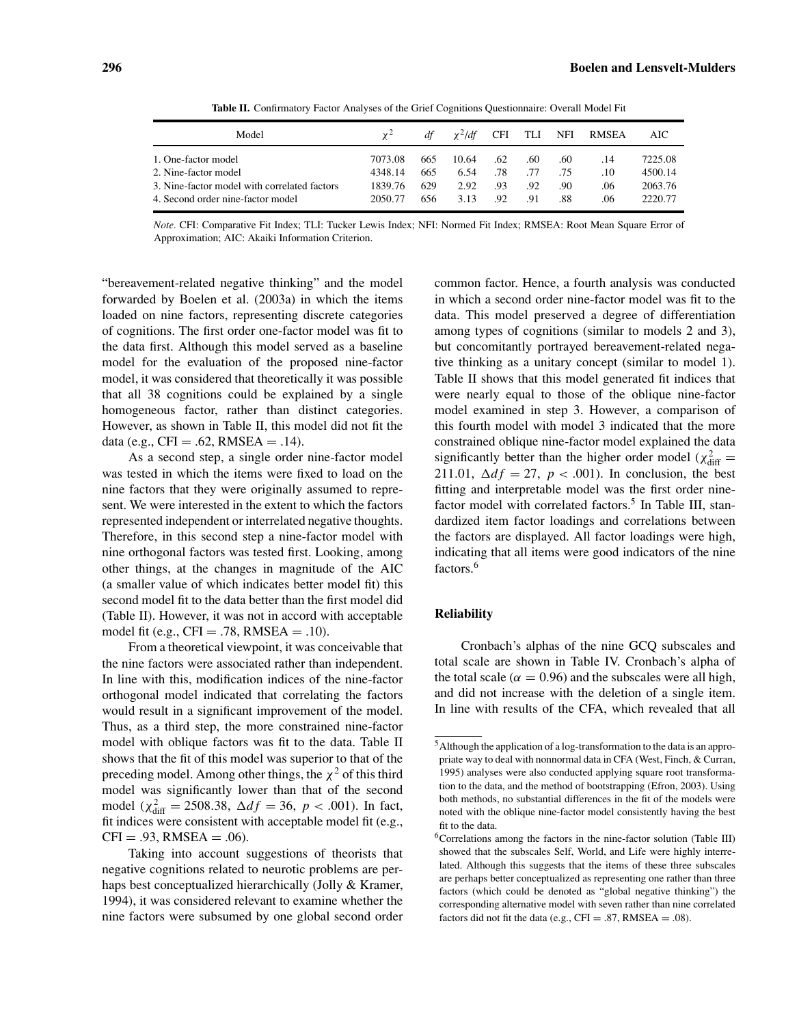| Model                                        |         |     |       |     |     |     | $\chi^2/df$ CFI TLI NFI RMSEA | AIC     |
|----------------------------------------------|---------|-----|-------|-----|-----|-----|-------------------------------|---------|
| 1. One-factor model                          | 7073.08 | 665 | 10.64 | .62 | .60 | .60 | .14                           | 7225.08 |
| 2. Nine-factor model                         | 4348.14 | 665 | 6.54  | .78 | .77 | .75 | .10                           | 4500.14 |
| 3. Nine-factor model with correlated factors | 1839.76 | 629 | 2.92  | 93  | .92 | .90 | .06                           | 2063.76 |
| 4. Second order nine-factor model            | 2050.77 | 656 | 3.13  | 92  | -91 | .88 | .06                           | 2220.77 |

**Table II.** Confirmatory Factor Analyses of the Grief Cognitions Questionnaire: Overall Model Fit

*Note.* CFI: Comparative Fit Index; TLI: Tucker Lewis Index; NFI: Normed Fit Index; RMSEA: Root Mean Square Error of Approximation; AIC: Akaiki Information Criterion.

"bereavement-related negative thinking" and the model forwarded by Boelen et al. (2003a) in which the items loaded on nine factors, representing discrete categories of cognitions. The first order one-factor model was fit to the data first. Although this model served as a baseline model for the evaluation of the proposed nine-factor model, it was considered that theoretically it was possible that all 38 cognitions could be explained by a single homogeneous factor, rather than distinct categories. However, as shown in Table II, this model did not fit the data (e.g., CFI = .62, RMSEA = .14).

As a second step, a single order nine-factor model was tested in which the items were fixed to load on the nine factors that they were originally assumed to represent. We were interested in the extent to which the factors represented independent or interrelated negative thoughts. Therefore, in this second step a nine-factor model with nine orthogonal factors was tested first. Looking, among other things, at the changes in magnitude of the AIC (a smaller value of which indicates better model fit) this second model fit to the data better than the first model did (Table II). However, it was not in accord with acceptable model fit (e.g.,  $CFI = .78$ , RMSEA = .10).

From a theoretical viewpoint, it was conceivable that the nine factors were associated rather than independent. In line with this, modification indices of the nine-factor orthogonal model indicated that correlating the factors would result in a significant improvement of the model. Thus, as a third step, the more constrained nine-factor model with oblique factors was fit to the data. Table II shows that the fit of this model was superior to that of the preceding model. Among other things, the  $\chi^2$  of this third model was significantly lower than that of the second model ( $\chi^2_{\text{diff}} = 2508.38$ ,  $\Delta df = 36$ ,  $p < .001$ ). In fact, fit indices were consistent with acceptable model fit (e.g.,  $CFI = .93$ , RMSEA =  $.06$ ).

Taking into account suggestions of theorists that negative cognitions related to neurotic problems are perhaps best conceptualized hierarchically (Jolly & Kramer, 1994), it was considered relevant to examine whether the nine factors were subsumed by one global second order common factor. Hence, a fourth analysis was conducted in which a second order nine-factor model was fit to the data. This model preserved a degree of differentiation among types of cognitions (similar to models 2 and 3), but concomitantly portrayed bereavement-related negative thinking as a unitary concept (similar to model 1). Table II shows that this model generated fit indices that were nearly equal to those of the oblique nine-factor model examined in step 3. However, a comparison of this fourth model with model 3 indicated that the more constrained oblique nine-factor model explained the data significantly better than the higher order model ( $\chi^2_{\text{diff}} =$ 211.01,  $\Delta df = 27$ ,  $p < .001$ ). In conclusion, the best fitting and interpretable model was the first order ninefactor model with correlated factors.<sup>5</sup> In Table III, standardized item factor loadings and correlations between the factors are displayed. All factor loadings were high, indicating that all items were good indicators of the nine factors.<sup>6</sup>

#### **Reliability**

Cronbach's alphas of the nine GCQ subscales and total scale are shown in Table IV. Cronbach's alpha of the total scale ( $\alpha = 0.96$ ) and the subscales were all high, and did not increase with the deletion of a single item. In line with results of the CFA, which revealed that all

<sup>5</sup>Although the application of a log-transformation to the data is an appropriate way to deal with nonnormal data in CFA (West, Finch, & Curran, 1995) analyses were also conducted applying square root transformation to the data, and the method of bootstrapping (Efron, 2003). Using both methods, no substantial differences in the fit of the models were noted with the oblique nine-factor model consistently having the best fit to the data.

 $6$ Correlations among the factors in the nine-factor solution (Table III) showed that the subscales Self, World, and Life were highly interrelated. Although this suggests that the items of these three subscales are perhaps better conceptualized as representing one rather than three factors (which could be denoted as "global negative thinking") the corresponding alternative model with seven rather than nine correlated factors did not fit the data (e.g.,  $CFI = .87$ , RMSEA = .08).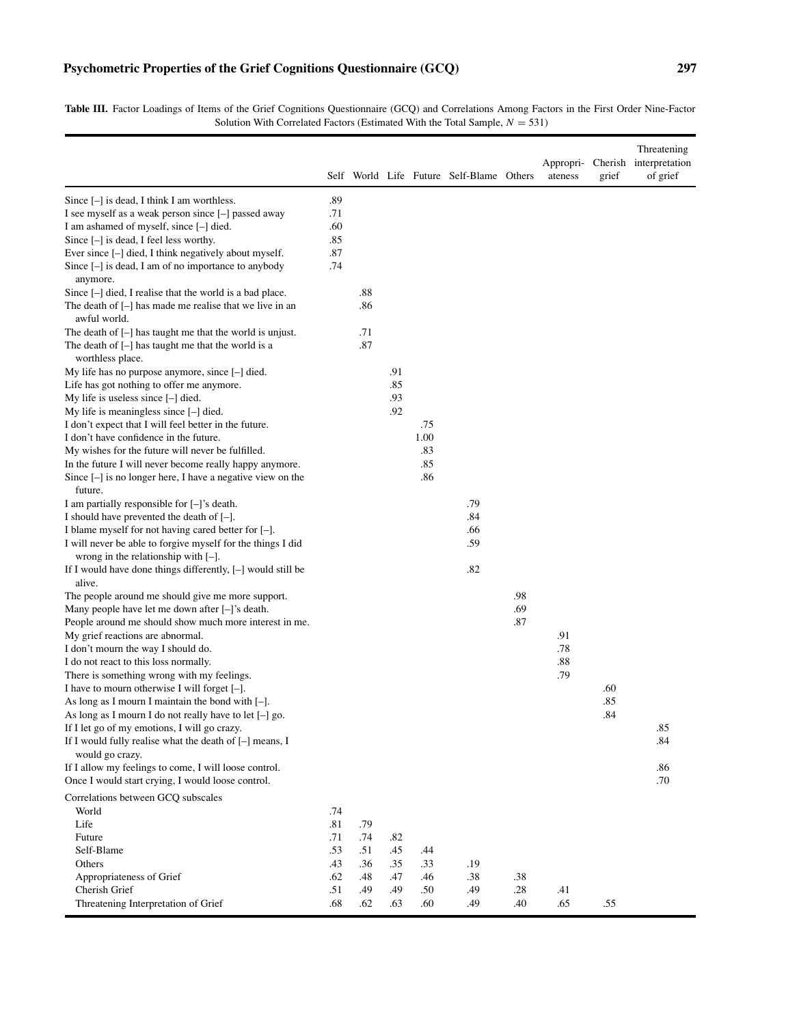# **Psychometric Properties of the Grief Cognitions Questionnaire (GCQ) 297**

| Table III. Factor Loadings of Items of the Grief Cognitions Questionnaire (GCQ) and Correlations Among Factors in the First Order Nine-Factor |  |
|-----------------------------------------------------------------------------------------------------------------------------------------------|--|
| Solution With Correlated Factors (Estimated With the Total Sample, $N = 531$ )                                                                |  |

|                                                                                                       |     |     |     |      | Self World Life Future Self-Blame Others |     | Appropri- Cherish<br>ateness | grief | Threatening<br>interpretation<br>of grief |
|-------------------------------------------------------------------------------------------------------|-----|-----|-----|------|------------------------------------------|-----|------------------------------|-------|-------------------------------------------|
| Since $[-]$ is dead, I think I am worthless.                                                          | .89 |     |     |      |                                          |     |                              |       |                                           |
| I see myself as a weak person since [-] passed away                                                   | .71 |     |     |      |                                          |     |                              |       |                                           |
| I am ashamed of myself, since [-] died.                                                               | .60 |     |     |      |                                          |     |                              |       |                                           |
| Since $[-]$ is dead, I feel less worthy.                                                              | .85 |     |     |      |                                          |     |                              |       |                                           |
| Ever since [-] died, I think negatively about myself.                                                 | .87 |     |     |      |                                          |     |                              |       |                                           |
| Since $[-]$ is dead, I am of no importance to anybody<br>anymore.                                     | .74 |     |     |      |                                          |     |                              |       |                                           |
| Since $[-]$ died, I realise that the world is a bad place.                                            |     | .88 |     |      |                                          |     |                              |       |                                           |
| The death of $[-]$ has made me realise that we live in an<br>awful world.                             |     | .86 |     |      |                                          |     |                              |       |                                           |
| The death of $[-]$ has taught me that the world is unjust.                                            |     | .71 |     |      |                                          |     |                              |       |                                           |
| The death of $[-]$ has taught me that the world is a<br>worthless place.                              |     | .87 |     |      |                                          |     |                              |       |                                           |
| My life has no purpose anymore, since [-] died.                                                       |     |     | .91 |      |                                          |     |                              |       |                                           |
| Life has got nothing to offer me anymore.                                                             |     |     | .85 |      |                                          |     |                              |       |                                           |
| My life is useless since $[-]$ died.                                                                  |     |     | .93 |      |                                          |     |                              |       |                                           |
| My life is meaningless since $[-]$ died.                                                              |     |     | .92 |      |                                          |     |                              |       |                                           |
| I don't expect that I will feel better in the future.                                                 |     |     |     | .75  |                                          |     |                              |       |                                           |
| I don't have confidence in the future.                                                                |     |     |     | 1.00 |                                          |     |                              |       |                                           |
| My wishes for the future will never be fulfilled.                                                     |     |     |     | .83  |                                          |     |                              |       |                                           |
| In the future I will never become really happy anymore.                                               |     |     |     | .85  |                                          |     |                              |       |                                           |
| Since $[-]$ is no longer here, I have a negative view on the<br>future.                               |     |     |     | .86  |                                          |     |                              |       |                                           |
| I am partially responsible for [-]'s death.                                                           |     |     |     |      | .79                                      |     |                              |       |                                           |
| I should have prevented the death of [-].                                                             |     |     |     |      | .84                                      |     |                              |       |                                           |
| I blame myself for not having cared better for [-].                                                   |     |     |     |      | .66                                      |     |                              |       |                                           |
| I will never be able to forgive myself for the things I did<br>wrong in the relationship with $[-]$ . |     |     |     |      | .59                                      |     |                              |       |                                           |
| If I would have done things differently, [-] would still be<br>alive.                                 |     |     |     |      | .82                                      |     |                              |       |                                           |
| The people around me should give me more support.                                                     |     |     |     |      |                                          | .98 |                              |       |                                           |
| Many people have let me down after [-]'s death.                                                       |     |     |     |      |                                          | .69 |                              |       |                                           |
| People around me should show much more interest in me.                                                |     |     |     |      |                                          | .87 |                              |       |                                           |
| My grief reactions are abnormal.<br>I don't mourn the way I should do.                                |     |     |     |      |                                          |     | .91<br>.78                   |       |                                           |
| I do not react to this loss normally.                                                                 |     |     |     |      |                                          |     | .88                          |       |                                           |
| There is something wrong with my feelings.                                                            |     |     |     |      |                                          |     | .79                          |       |                                           |
| I have to mourn otherwise I will forget [-].                                                          |     |     |     |      |                                          |     |                              | .60   |                                           |
| As long as I mourn I maintain the bond with $[-]$ .                                                   |     |     |     |      |                                          |     |                              | .85   |                                           |
| As long as I mourn I do not really have to let $[-]$ go.                                              |     |     |     |      |                                          |     |                              | .84   |                                           |
| If I let go of my emotions, I will go crazy.                                                          |     |     |     |      |                                          |     |                              |       | .85                                       |
| If I would fully realise what the death of $[-]$ means, I<br>would go crazy.                          |     |     |     |      |                                          |     |                              |       | .84                                       |
| If I allow my feelings to come, I will loose control.                                                 |     |     |     |      |                                          |     |                              |       | .86                                       |
| Once I would start crying, I would loose control.                                                     |     |     |     |      |                                          |     |                              |       | .70                                       |
| Correlations between GCQ subscales<br>World                                                           | .74 |     |     |      |                                          |     |                              |       |                                           |
| Life                                                                                                  | .81 | .79 |     |      |                                          |     |                              |       |                                           |
| Future                                                                                                | .71 | .74 | .82 |      |                                          |     |                              |       |                                           |
| Self-Blame                                                                                            | .53 | .51 | .45 | .44  |                                          |     |                              |       |                                           |
| Others                                                                                                | .43 | .36 | .35 | .33  | .19                                      |     |                              |       |                                           |
| Appropriateness of Grief                                                                              | .62 | .48 | .47 | .46  | .38                                      | .38 |                              |       |                                           |
| Cherish Grief                                                                                         | .51 | .49 | .49 | .50  | .49                                      | .28 | .41                          |       |                                           |
| Threatening Interpretation of Grief                                                                   | .68 | .62 | .63 | .60  | .49                                      | .40 | .65                          | .55   |                                           |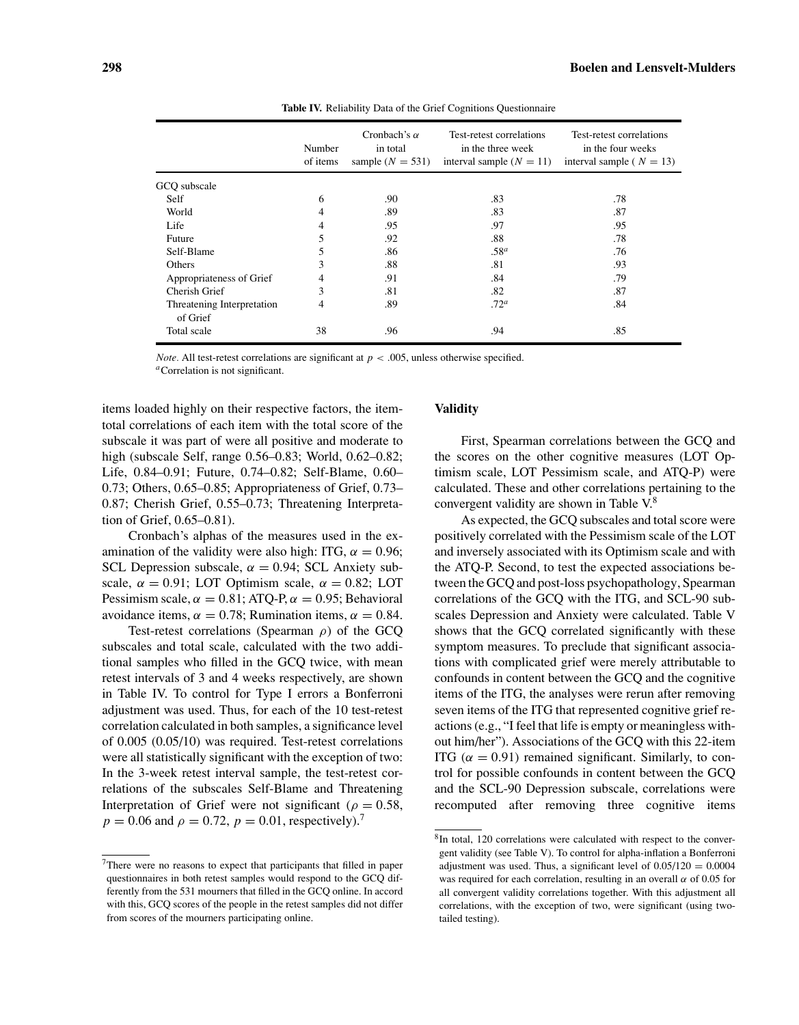|                                        | Number<br>of items | Cronbach's $\alpha$<br>in total<br>sample $(N = 531)$ | Test-retest correlations<br>in the three week<br>interval sample $(N = 11)$ | Test-retest correlations<br>in the four weeks<br>interval sample ( $N = 13$ ) |
|----------------------------------------|--------------------|-------------------------------------------------------|-----------------------------------------------------------------------------|-------------------------------------------------------------------------------|
| GCQ subscale                           |                    |                                                       |                                                                             |                                                                               |
| Self                                   | 6                  | .90                                                   | .83                                                                         | .78                                                                           |
| World                                  | 4                  | .89                                                   | .83                                                                         | .87                                                                           |
|                                        |                    |                                                       |                                                                             |                                                                               |
| Life                                   | 4                  | .95                                                   | .97                                                                         | .95                                                                           |
| Future                                 | 5                  | .92                                                   | .88                                                                         | .78                                                                           |
| Self-Blame                             |                    | .86                                                   | .58 <sup>a</sup>                                                            | .76                                                                           |
| Others                                 | 3                  | .88                                                   | .81                                                                         | .93                                                                           |
| Appropriateness of Grief               | 4                  | .91                                                   | .84                                                                         | .79                                                                           |
| Cherish Grief                          | 3                  | .81                                                   | .82                                                                         | .87                                                                           |
| Threatening Interpretation<br>of Grief | 4                  | .89                                                   | .72 <sup>a</sup>                                                            | .84                                                                           |
| Total scale                            | 38                 | .96                                                   | .94                                                                         | .85                                                                           |

**Table IV.** Reliability Data of the Grief Cognitions Questionnaire

*Note.* All test-retest correlations are significant at  $p < .005$ , unless otherwise specified.

*<sup>a</sup>*Correlation is not significant.

items loaded highly on their respective factors, the itemtotal correlations of each item with the total score of the subscale it was part of were all positive and moderate to high (subscale Self, range 0.56–0.83; World, 0.62–0.82; Life, 0.84–0.91; Future, 0.74–0.82; Self-Blame, 0.60– 0.73; Others, 0.65–0.85; Appropriateness of Grief, 0.73– 0.87; Cherish Grief, 0.55–0.73; Threatening Interpretation of Grief, 0.65–0.81).

Cronbach's alphas of the measures used in the examination of the validity were also high: ITG,  $\alpha = 0.96$ ; SCL Depression subscale,  $\alpha = 0.94$ ; SCL Anxiety subscale,  $\alpha = 0.91$ ; LOT Optimism scale,  $\alpha = 0.82$ ; LOT Pessimism scale,  $\alpha = 0.81$ ; ATQ-P,  $\alpha = 0.95$ ; Behavioral avoidance items,  $\alpha = 0.78$ ; Rumination items,  $\alpha = 0.84$ .

Test-retest correlations (Spearman *ρ*) of the GCQ subscales and total scale, calculated with the two additional samples who filled in the GCQ twice, with mean retest intervals of 3 and 4 weeks respectively, are shown in Table IV. To control for Type I errors a Bonferroni adjustment was used. Thus, for each of the 10 test-retest correlation calculated in both samples, a significance level of 0.005 (0.05/10) was required. Test-retest correlations were all statistically significant with the exception of two: In the 3-week retest interval sample, the test-retest correlations of the subscales Self-Blame and Threatening Interpretation of Grief were not significant ( $\rho = 0.58$ ,  $p = 0.06$  and  $\rho = 0.72$ ,  $p = 0.01$ , respectively).<sup>7</sup>

## **Validity**

First, Spearman correlations between the GCQ and the scores on the other cognitive measures (LOT Optimism scale, LOT Pessimism scale, and ATQ-P) were calculated. These and other correlations pertaining to the convergent validity are shown in Table V.<sup>8</sup>

As expected, the GCQ subscales and total score were positively correlated with the Pessimism scale of the LOT and inversely associated with its Optimism scale and with the ATQ-P. Second, to test the expected associations between the GCQ and post-loss psychopathology, Spearman correlations of the GCQ with the ITG, and SCL-90 subscales Depression and Anxiety were calculated. Table V shows that the GCQ correlated significantly with these symptom measures. To preclude that significant associations with complicated grief were merely attributable to confounds in content between the GCQ and the cognitive items of the ITG, the analyses were rerun after removing seven items of the ITG that represented cognitive grief reactions (e.g., "I feel that life is empty or meaningless without him/her"). Associations of the GCQ with this 22-item ITG ( $\alpha = 0.91$ ) remained significant. Similarly, to control for possible confounds in content between the GCQ and the SCL-90 Depression subscale, correlations were recomputed after removing three cognitive items

<sup>7</sup>There were no reasons to expect that participants that filled in paper questionnaires in both retest samples would respond to the GCQ differently from the 531 mourners that filled in the GCQ online. In accord with this, GCQ scores of the people in the retest samples did not differ from scores of the mourners participating online.

<sup>8</sup>In total, 120 correlations were calculated with respect to the convergent validity (see Table V). To control for alpha-inflation a Bonferroni adjustment was used. Thus, a significant level of  $0.05/120 = 0.0004$ was required for each correlation, resulting in an overall *α* of 0.05 for all convergent validity correlations together. With this adjustment all correlations, with the exception of two, were significant (using twotailed testing).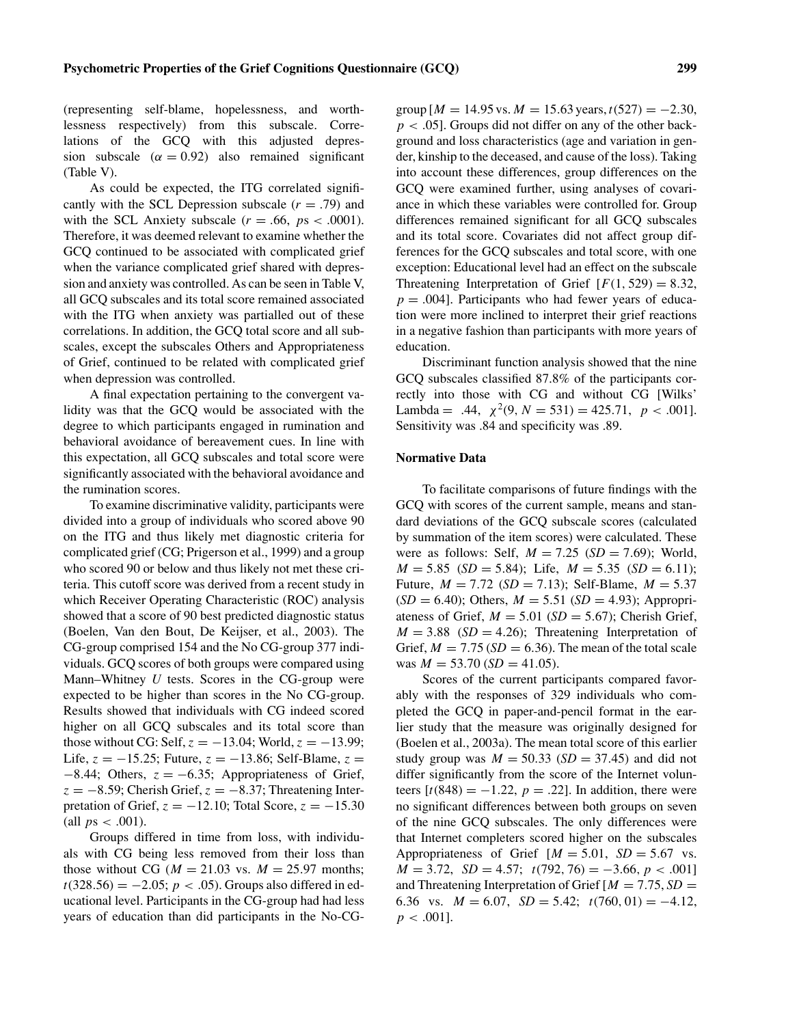As could be expected, the ITG correlated significantly with the SCL Depression subscale  $(r = .79)$  and with the SCL Anxiety subscale  $(r = .66, ps < .0001)$ . Therefore, it was deemed relevant to examine whether the GCQ continued to be associated with complicated grief when the variance complicated grief shared with depression and anxiety was controlled. As can be seen in Table V, all GCQ subscales and its total score remained associated with the ITG when anxiety was partialled out of these correlations. In addition, the GCQ total score and all subscales, except the subscales Others and Appropriateness of Grief, continued to be related with complicated grief when depression was controlled.

A final expectation pertaining to the convergent validity was that the GCQ would be associated with the degree to which participants engaged in rumination and behavioral avoidance of bereavement cues. In line with this expectation, all GCQ subscales and total score were significantly associated with the behavioral avoidance and the rumination scores.

To examine discriminative validity, participants were divided into a group of individuals who scored above 90 on the ITG and thus likely met diagnostic criteria for complicated grief (CG; Prigerson et al., 1999) and a group who scored 90 or below and thus likely not met these criteria. This cutoff score was derived from a recent study in which Receiver Operating Characteristic (ROC) analysis showed that a score of 90 best predicted diagnostic status (Boelen, Van den Bout, De Keijser, et al., 2003). The CG-group comprised 154 and the No CG-group 377 individuals. GCQ scores of both groups were compared using Mann–Whitney *U* tests. Scores in the CG-group were expected to be higher than scores in the No CG-group. Results showed that individuals with CG indeed scored higher on all GCQ subscales and its total score than those without CG: Self,  $z = -13.04$ ; World,  $z = -13.99$ ; Life, *z* = −15.25; Future, *z* = −13.86; Self-Blame, *z* = −8*.*44; Others, *z* = −6*.*35; Appropriateness of Grief, *z* = −8*.*59; Cherish Grief, *z* = −8*.*37; Threatening Interpretation of Grief,  $z = -12.10$ ; Total Score,  $z = -15.30$ (all  $ps < .001$ ).

Groups differed in time from loss, with individuals with CG being less removed from their loss than those without CG ( $M = 21.03$  vs.  $M = 25.97$  months;  $t(328.56) = -2.05$ ;  $p < .05$ ). Groups also differed in educational level. Participants in the CG-group had had less years of education than did participants in the No-CG-

group  $[M = 14.95 \text{ vs. } M = 15.63 \text{ years}, t(527) = -2.30,$  $p < .05$ ]. Groups did not differ on any of the other background and loss characteristics (age and variation in gender, kinship to the deceased, and cause of the loss). Taking into account these differences, group differences on the GCQ were examined further, using analyses of covariance in which these variables were controlled for. Group differences remained significant for all GCQ subscales and its total score. Covariates did not affect group differences for the GCQ subscales and total score, with one exception: Educational level had an effect on the subscale Threatening Interpretation of Grief  $[F(1, 529) = 8.32]$ ,  $p = .004$ . Participants who had fewer years of education were more inclined to interpret their grief reactions in a negative fashion than participants with more years of education.

Discriminant function analysis showed that the nine GCQ subscales classified 87.8% of the participants correctly into those with CG and without CG [Wilks' Lambda = .44,  $\chi^2(9, N = 531) = 425.71$ ,  $p < .001$ . Sensitivity was .84 and specificity was .89.

# **Normative Data**

To facilitate comparisons of future findings with the GCQ with scores of the current sample, means and standard deviations of the GCQ subscale scores (calculated by summation of the item scores) were calculated. These were as follows: Self,  $M = 7.25$  ( $SD = 7.69$ ); World,  $M = 5.85$  (*SD* = 5.84); Life,  $M = 5.35$  (*SD* = 6.11); Future,  $M = 7.72$  (*SD* = 7.13); Self-Blame,  $M = 5.37$  $(SD = 6.40)$ ; Others,  $M = 5.51$  (*SD* = 4.93); Appropriateness of Grief,  $M = 5.01$  ( $SD = 5.67$ ); Cherish Grief,  $M = 3.88$  (*SD* = 4.26); Threatening Interpretation of Grief,  $M = 7.75$  ( $SD = 6.36$ ). The mean of the total scale was  $M = 53.70$  (*SD* = 41.05).

Scores of the current participants compared favorably with the responses of 329 individuals who completed the GCQ in paper-and-pencil format in the earlier study that the measure was originally designed for (Boelen et al., 2003a). The mean total score of this earlier study group was  $M = 50.33$  (*SD* = 37.45) and did not differ significantly from the score of the Internet volunteers  $[t(848) = -1.22, p = .22]$ . In addition, there were no significant differences between both groups on seven of the nine GCQ subscales. The only differences were that Internet completers scored higher on the subscales Appropriateness of Grief  $[M = 5.01, SD = 5.67$  vs. *M* = 3*.*72, *SD* = 4*.*57; *t*(792*,* 76) = −3*.*66*,p <.*001] and Threatening Interpretation of Grief  $[M = 7.75, SD =$ 6.36 vs.  $M = 6.07$ ,  $SD = 5.42$ ;  $t(760, 01) = -4.12$ ,  $p < .001$ ].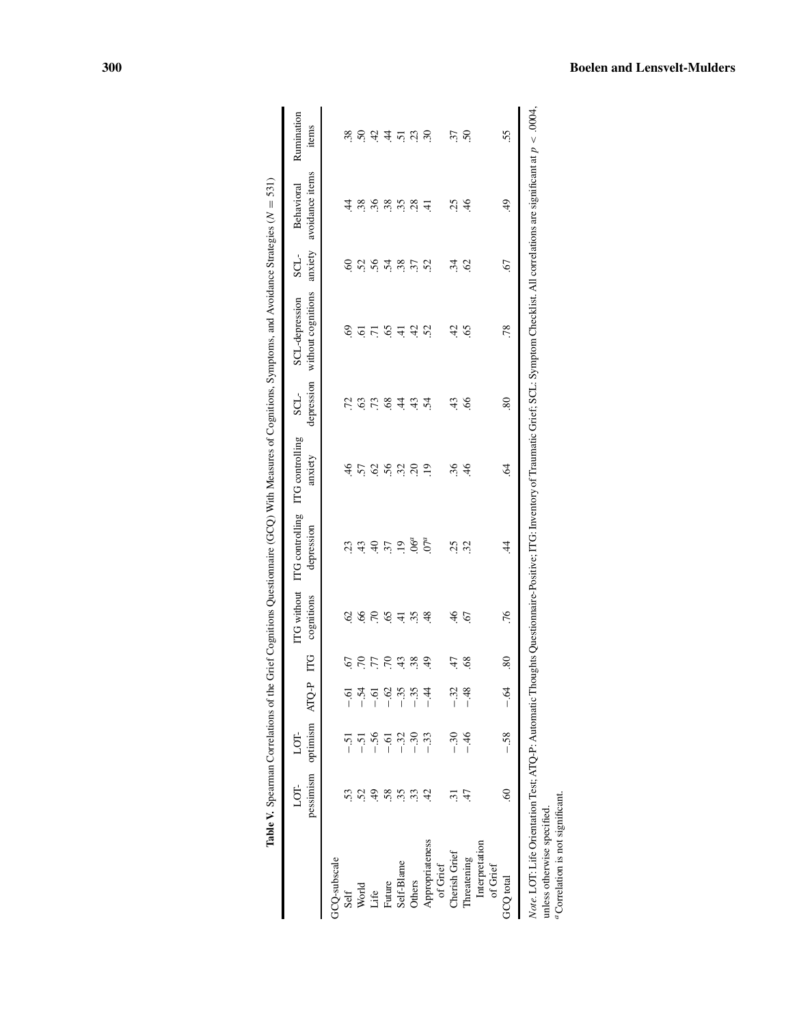|                                                                                                                                                                                                                                                                     |                 |                                      |                |                            |                                          |                               |                            |                   | Table V. Spearman Correlations of the Grief Cognitions Questionnaire (GCQ) With Measures of Cognitions, Symptoms, and Avoidance Strategies (N = 531) |                |                                  |                     |
|---------------------------------------------------------------------------------------------------------------------------------------------------------------------------------------------------------------------------------------------------------------------|-----------------|--------------------------------------|----------------|----------------------------|------------------------------------------|-------------------------------|----------------------------|-------------------|------------------------------------------------------------------------------------------------------------------------------------------------------|----------------|----------------------------------|---------------------|
|                                                                                                                                                                                                                                                                     | LOT-            | pessimism optimism ATC<br><b>DOL</b> | .<br>군         | LLC                        | ITG without<br>cognitions                | ITG controlling<br>depression | ITG controlling<br>anxiety | depression<br>SCL | without cognitions<br>SCL-depression                                                                                                                 | anxiety<br>SCL | avoidance items<br>Behavioral    | Rumination<br>items |
| GCQ-subscale                                                                                                                                                                                                                                                        |                 |                                      |                |                            |                                          |                               |                            |                   |                                                                                                                                                      |                |                                  |                     |
| Self                                                                                                                                                                                                                                                                |                 |                                      |                |                            |                                          |                               |                            |                   |                                                                                                                                                      | $\mathcal{S}$  |                                  | 38                  |
| World                                                                                                                                                                                                                                                               | 52              |                                      | $-54$          | 57.<br>19                  |                                          |                               |                            |                   |                                                                                                                                                      |                | $\ddot{4}$ $\ddot{8}$ $\ddot{8}$ |                     |
| Life                                                                                                                                                                                                                                                                | 49              | $-56$                                | $-61$          |                            | $G \& S \& S \& \exists \& S \& \exists$ | 73.4952                       | <b>ង្</b> ភូ ដូ ងូ ងូ ងូ ១ | 5.658494          | ತಿ ತ ಸ                                                                                                                                               | 9,9,48,59,59   |                                  | 834588              |
| Future                                                                                                                                                                                                                                                              | 58.             | <u>ای</u><br>ا                       | $-0.62$        | $\overline{70}$            |                                          |                               |                            |                   |                                                                                                                                                      |                |                                  |                     |
| Self-Blame                                                                                                                                                                                                                                                          | 35              | $-32$                                | $-35$          |                            |                                          |                               |                            |                   | 6449                                                                                                                                                 |                | 3, 3, 3, 4                       |                     |
| Others                                                                                                                                                                                                                                                              | 33              | $-30$                                |                | 4.38                       |                                          | .06 <sup>a</sup>              |                            |                   |                                                                                                                                                      |                |                                  |                     |
| Appropriateness                                                                                                                                                                                                                                                     | 42              | $-33$                                | $-44$          | 49                         |                                          | $\Omega^a$                    |                            |                   |                                                                                                                                                      |                |                                  |                     |
| of Grief                                                                                                                                                                                                                                                            |                 |                                      |                |                            |                                          |                               |                            |                   |                                                                                                                                                      |                |                                  |                     |
| Cherish Grief                                                                                                                                                                                                                                                       | $\overline{31}$ | $-30$                                | $-32$<br>$-48$ | 47                         | $rac{46}{67}$                            | $25$<br>$32$                  | 36                         | 4.66              | $\frac{1}{4}$                                                                                                                                        | $\ddot{34}$    | 25                               | $\frac{37}{50}$     |
| Threatening                                                                                                                                                                                                                                                         | 47              | $-46$                                |                | 68                         |                                          |                               | $\frac{4}{6}$              |                   | 65                                                                                                                                                   | $\mathcal{S}$  | 46                               |                     |
| Interpretation<br>of Grief                                                                                                                                                                                                                                          |                 |                                      |                |                            |                                          |                               |                            |                   |                                                                                                                                                      |                |                                  |                     |
| GCQ total                                                                                                                                                                                                                                                           | 8               | $-58$                                | $-.64$         | $\overline{\phantom{0}80}$ | .76                                      | $\ddot{4}$                    | $\ddot{\mathrm{S}}$        | 80                | .78                                                                                                                                                  | .67            | $\ddot{ }$                       | 55                  |
| Note. LOT: Life Orientation Test; ATQ-P: Automatic Thoughts Questionnaire-Positive; ITG: Inventory of Traumatic Grief; SCL: Symptom Checklist. All correlations are significant at $p < 0.004$ .<br>aCorrelation is not significant.<br>unless otherwise specified. |                 |                                      |                |                            |                                          |                               |                            |                   |                                                                                                                                                      |                |                                  |                     |
|                                                                                                                                                                                                                                                                     |                 |                                      |                |                            |                                          |                               |                            |                   |                                                                                                                                                      |                |                                  |                     |

| II                   |
|----------------------|
|                      |
|                      |
|                      |
|                      |
|                      |
|                      |
|                      |
|                      |
|                      |
|                      |
|                      |
|                      |
|                      |
|                      |
|                      |
| j                    |
|                      |
|                      |
|                      |
|                      |
|                      |
|                      |
|                      |
|                      |
|                      |
|                      |
|                      |
|                      |
| i<br>l               |
|                      |
|                      |
|                      |
|                      |
|                      |
|                      |
|                      |
|                      |
|                      |
|                      |
|                      |
|                      |
|                      |
|                      |
|                      |
|                      |
|                      |
|                      |
|                      |
|                      |
|                      |
| ׇ֚֬֓֡<br>j           |
|                      |
|                      |
|                      |
|                      |
|                      |
|                      |
|                      |
| j                    |
|                      |
|                      |
|                      |
|                      |
|                      |
|                      |
|                      |
|                      |
|                      |
|                      |
|                      |
|                      |
| i                    |
|                      |
| l                    |
|                      |
|                      |
| $\ddot{\phantom{a}}$ |
|                      |
|                      |
|                      |
|                      |
|                      |
| j                    |
|                      |
| Tabl                 |

**300 Boelen and Lensvelt-Mulders**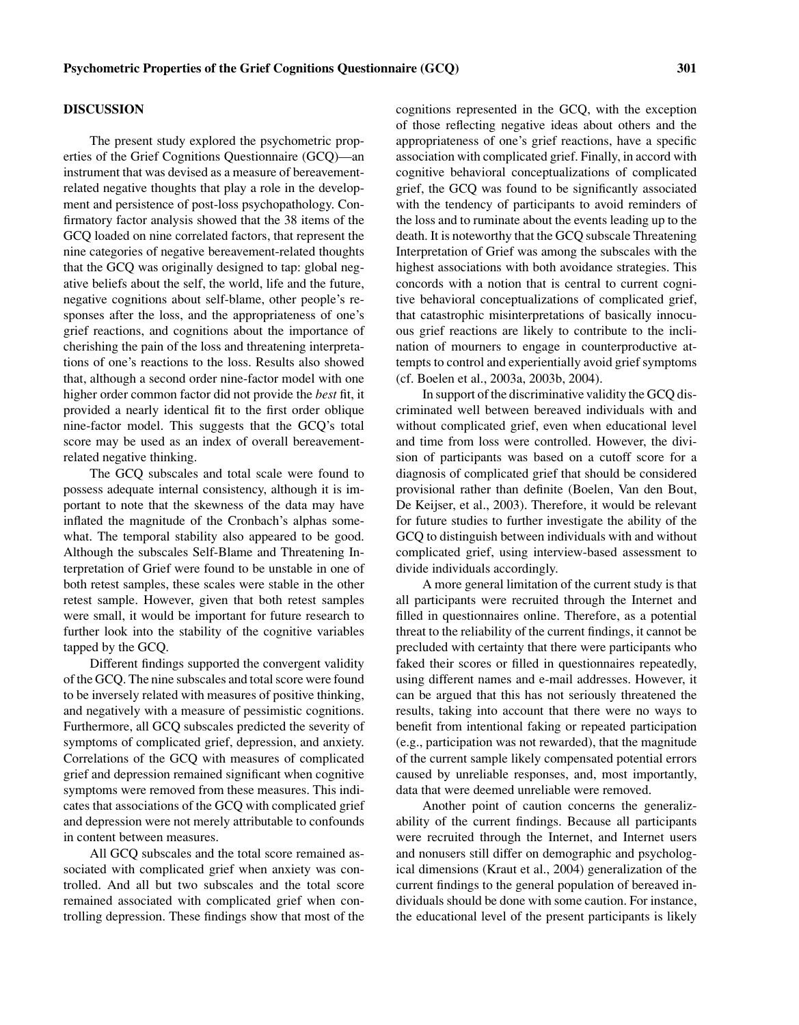# **DISCUSSION**

The present study explored the psychometric properties of the Grief Cognitions Questionnaire (GCQ)—an instrument that was devised as a measure of bereavementrelated negative thoughts that play a role in the development and persistence of post-loss psychopathology. Confirmatory factor analysis showed that the 38 items of the GCQ loaded on nine correlated factors, that represent the nine categories of negative bereavement-related thoughts that the GCQ was originally designed to tap: global negative beliefs about the self, the world, life and the future, negative cognitions about self-blame, other people's responses after the loss, and the appropriateness of one's grief reactions, and cognitions about the importance of cherishing the pain of the loss and threatening interpretations of one's reactions to the loss. Results also showed that, although a second order nine-factor model with one higher order common factor did not provide the *best* fit, it provided a nearly identical fit to the first order oblique nine-factor model. This suggests that the GCQ's total score may be used as an index of overall bereavementrelated negative thinking.

The GCQ subscales and total scale were found to possess adequate internal consistency, although it is important to note that the skewness of the data may have inflated the magnitude of the Cronbach's alphas somewhat. The temporal stability also appeared to be good. Although the subscales Self-Blame and Threatening Interpretation of Grief were found to be unstable in one of both retest samples, these scales were stable in the other retest sample. However, given that both retest samples were small, it would be important for future research to further look into the stability of the cognitive variables tapped by the GCQ.

Different findings supported the convergent validity of the GCQ. The nine subscales and total score were found to be inversely related with measures of positive thinking, and negatively with a measure of pessimistic cognitions. Furthermore, all GCQ subscales predicted the severity of symptoms of complicated grief, depression, and anxiety. Correlations of the GCQ with measures of complicated grief and depression remained significant when cognitive symptoms were removed from these measures. This indicates that associations of the GCQ with complicated grief and depression were not merely attributable to confounds in content between measures.

All GCQ subscales and the total score remained associated with complicated grief when anxiety was controlled. And all but two subscales and the total score remained associated with complicated grief when controlling depression. These findings show that most of the

cognitions represented in the GCQ, with the exception of those reflecting negative ideas about others and the appropriateness of one's grief reactions, have a specific association with complicated grief. Finally, in accord with cognitive behavioral conceptualizations of complicated grief, the GCQ was found to be significantly associated with the tendency of participants to avoid reminders of the loss and to ruminate about the events leading up to the death. It is noteworthy that the GCQ subscale Threatening Interpretation of Grief was among the subscales with the highest associations with both avoidance strategies. This concords with a notion that is central to current cognitive behavioral conceptualizations of complicated grief, that catastrophic misinterpretations of basically innocuous grief reactions are likely to contribute to the inclination of mourners to engage in counterproductive attempts to control and experientially avoid grief symptoms (cf. Boelen et al., 2003a, 2003b, 2004).

In support of the discriminative validity the GCQ discriminated well between bereaved individuals with and without complicated grief, even when educational level and time from loss were controlled. However, the division of participants was based on a cutoff score for a diagnosis of complicated grief that should be considered provisional rather than definite (Boelen, Van den Bout, De Keijser, et al., 2003). Therefore, it would be relevant for future studies to further investigate the ability of the GCQ to distinguish between individuals with and without complicated grief, using interview-based assessment to divide individuals accordingly.

A more general limitation of the current study is that all participants were recruited through the Internet and filled in questionnaires online. Therefore, as a potential threat to the reliability of the current findings, it cannot be precluded with certainty that there were participants who faked their scores or filled in questionnaires repeatedly, using different names and e-mail addresses. However, it can be argued that this has not seriously threatened the results, taking into account that there were no ways to benefit from intentional faking or repeated participation (e.g., participation was not rewarded), that the magnitude of the current sample likely compensated potential errors caused by unreliable responses, and, most importantly, data that were deemed unreliable were removed.

Another point of caution concerns the generalizability of the current findings. Because all participants were recruited through the Internet, and Internet users and nonusers still differ on demographic and psychological dimensions (Kraut et al., 2004) generalization of the current findings to the general population of bereaved individuals should be done with some caution. For instance, the educational level of the present participants is likely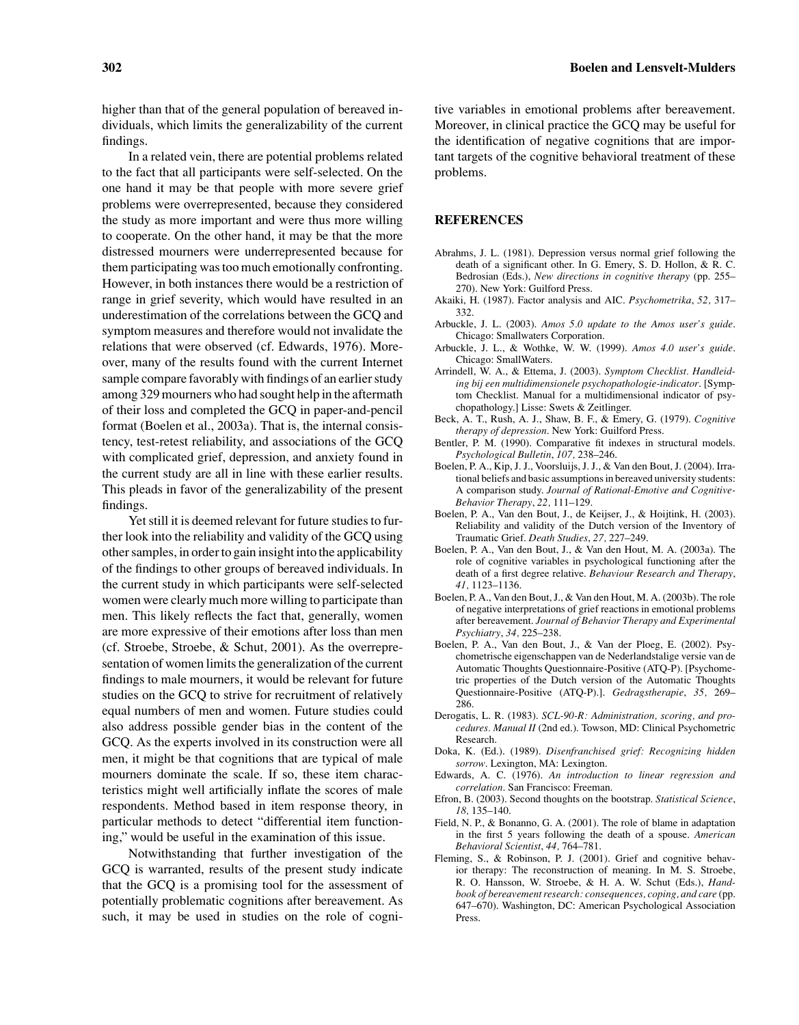higher than that of the general population of bereaved individuals, which limits the generalizability of the current findings.

In a related vein, there are potential problems related to the fact that all participants were self-selected. On the one hand it may be that people with more severe grief problems were overrepresented, because they considered the study as more important and were thus more willing to cooperate. On the other hand, it may be that the more distressed mourners were underrepresented because for them participating was too much emotionally confronting. However, in both instances there would be a restriction of range in grief severity, which would have resulted in an underestimation of the correlations between the GCQ and symptom measures and therefore would not invalidate the relations that were observed (cf. Edwards, 1976). Moreover, many of the results found with the current Internet sample compare favorably with findings of an earlier study among 329 mourners who had sought help in the aftermath of their loss and completed the GCQ in paper-and-pencil format (Boelen et al., 2003a). That is, the internal consistency, test-retest reliability, and associations of the GCQ with complicated grief, depression, and anxiety found in the current study are all in line with these earlier results. This pleads in favor of the generalizability of the present findings.

Yet still it is deemed relevant for future studies to further look into the reliability and validity of the GCQ using other samples, in order to gain insight into the applicability of the findings to other groups of bereaved individuals. In the current study in which participants were self-selected women were clearly much more willing to participate than men. This likely reflects the fact that, generally, women are more expressive of their emotions after loss than men (cf. Stroebe, Stroebe, & Schut, 2001). As the overrepresentation of women limits the generalization of the current findings to male mourners, it would be relevant for future studies on the GCQ to strive for recruitment of relatively equal numbers of men and women. Future studies could also address possible gender bias in the content of the GCQ. As the experts involved in its construction were all men, it might be that cognitions that are typical of male mourners dominate the scale. If so, these item characteristics might well artificially inflate the scores of male respondents. Method based in item response theory, in particular methods to detect "differential item functioning," would be useful in the examination of this issue.

Notwithstanding that further investigation of the GCQ is warranted, results of the present study indicate that the GCQ is a promising tool for the assessment of potentially problematic cognitions after bereavement. As such, it may be used in studies on the role of cognitive variables in emotional problems after bereavement. Moreover, in clinical practice the GCQ may be useful for the identification of negative cognitions that are important targets of the cognitive behavioral treatment of these problems.

# **REFERENCES**

- Abrahms, J. L. (1981). Depression versus normal grief following the death of a significant other. In G. Emery, S. D. Hollon, & R. C. Bedrosian (Eds.), *New directions in cognitive therapy* (pp. 255– 270). New York: Guilford Press.
- Akaiki, H. (1987). Factor analysis and AIC. *Psychometrika*, *52,* 317– 332.
- Arbuckle, J. L. (2003). *Amos 5.0 update to the Amos user's guide*. Chicago: Smallwaters Corporation.
- Arbuckle, J. L., & Wothke, W. W. (1999). *Amos 4.0 user's guide*. Chicago: SmallWaters.
- Arrindell, W. A., & Ettema, J. (2003). *Symptom Checklist. Handleiding bij een multidimensionele psychopathologie-indicator*. [Symptom Checklist. Manual for a multidimensional indicator of psychopathology.] Lisse: Swets & Zeitlinger.
- Beck, A. T., Rush, A. J., Shaw, B. F., & Emery, G. (1979). *Cognitive therapy of depression*. New York: Guilford Press.
- Bentler, P. M. (1990). Comparative fit indexes in structural models. *Psychological Bulletin*, *107,* 238–246.
- Boelen, P. A., Kip, J. J., Voorsluijs, J. J., & Van den Bout, J. (2004). Irrational beliefs and basic assumptions in bereaved university students: A comparison study. *Journal of Rational-Emotive and Cognitive-Behavior Therapy*, *22,* 111–129.
- Boelen, P. A., Van den Bout, J., de Keijser, J., & Hoijtink, H. (2003). Reliability and validity of the Dutch version of the Inventory of Traumatic Grief. *Death Studies*, *27,* 227–249.
- Boelen, P. A., Van den Bout, J., & Van den Hout, M. A. (2003a). The role of cognitive variables in psychological functioning after the death of a first degree relative. *Behaviour Research and Therapy*, *41,* 1123–1136.
- Boelen, P. A., Van den Bout, J., & Van den Hout, M. A. (2003b). The role of negative interpretations of grief reactions in emotional problems after bereavement. *Journal of Behavior Therapy and Experimental Psychiatry*, *34,* 225–238.
- Boelen, P. A., Van den Bout, J., & Van der Ploeg, E. (2002). Psychometrische eigenschappen van de Nederlandstalige versie van de Automatic Thoughts Questionnaire-Positive (ATQ-P). [Psychometric properties of the Dutch version of the Automatic Thoughts Questionnaire-Positive (ATQ-P).]. *Gedragstherapie*, *35,* 269– 286.
- Derogatis, L. R. (1983). *SCL-90-R: Administration, scoring, and procedures. Manual II* (2nd ed.). Towson, MD: Clinical Psychometric Research.
- Doka, K. (Ed.). (1989). *Disenfranchised grief: Recognizing hidden sorrow*. Lexington, MA: Lexington.
- Edwards, A. C. (1976). *An introduction to linear regression and correlation*. San Francisco: Freeman.
- Efron, B. (2003). Second thoughts on the bootstrap. *Statistical Science*, *18,* 135–140.
- Field, N. P., & Bonanno, G. A. (2001). The role of blame in adaptation in the first 5 years following the death of a spouse. *American Behavioral Scientist*, *44,* 764–781.
- Fleming, S., & Robinson, P. J. (2001). Grief and cognitive behavior therapy: The reconstruction of meaning. In M. S. Stroebe, R. O. Hansson, W. Stroebe, & H. A. W. Schut (Eds.), *Handbook of bereavement research: consequences, coping, and care* (pp. 647–670). Washington, DC: American Psychological Association Press.